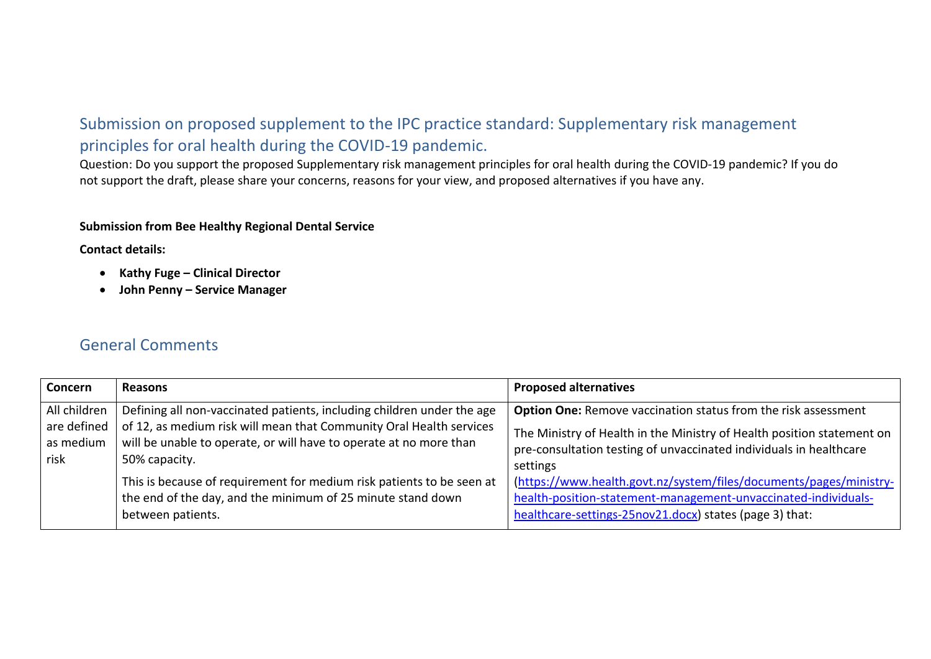## Submission on proposed supplement to the IPC practice standard: Supplementary risk management principles for oral health during the COVID-19 pandemic.

Question: Do you support the proposed Supplementary risk management principles for oral health during the COVID-19 pandemic? If you do not support the draft, please share your concerns, reasons for your view, and proposed alternatives if you have any.

## **Submission from Bee Healthy Regional Dental Service**

**Contact details:**

- **Kathy Fuge – Clinical Director**
- **John Penny – Service Manager**

## General Comments

| Concern                                          | <b>Reasons</b>                                                                                                                                                                                                                       | <b>Proposed alternatives</b>                                                                                                                                                                                                      |
|--------------------------------------------------|--------------------------------------------------------------------------------------------------------------------------------------------------------------------------------------------------------------------------------------|-----------------------------------------------------------------------------------------------------------------------------------------------------------------------------------------------------------------------------------|
| All children<br>are defined<br>as medium<br>risk | Defining all non-vaccinated patients, including children under the age<br>of 12, as medium risk will mean that Community Oral Health services<br>will be unable to operate, or will have to operate at no more than<br>50% capacity. | <b>Option One:</b> Remove vaccination status from the risk assessment<br>The Ministry of Health in the Ministry of Health position statement on<br>pre-consultation testing of unvaccinated individuals in healthcare<br>settings |
|                                                  | This is because of requirement for medium risk patients to be seen at<br>the end of the day, and the minimum of 25 minute stand down<br>between patients.                                                                            | (https://www.health.govt.nz/system/files/documents/pages/ministry-<br>health-position-statement-management-unvaccinated-individuals-<br>healthcare-settings-25nov21.docx) states (page 3) that:                                   |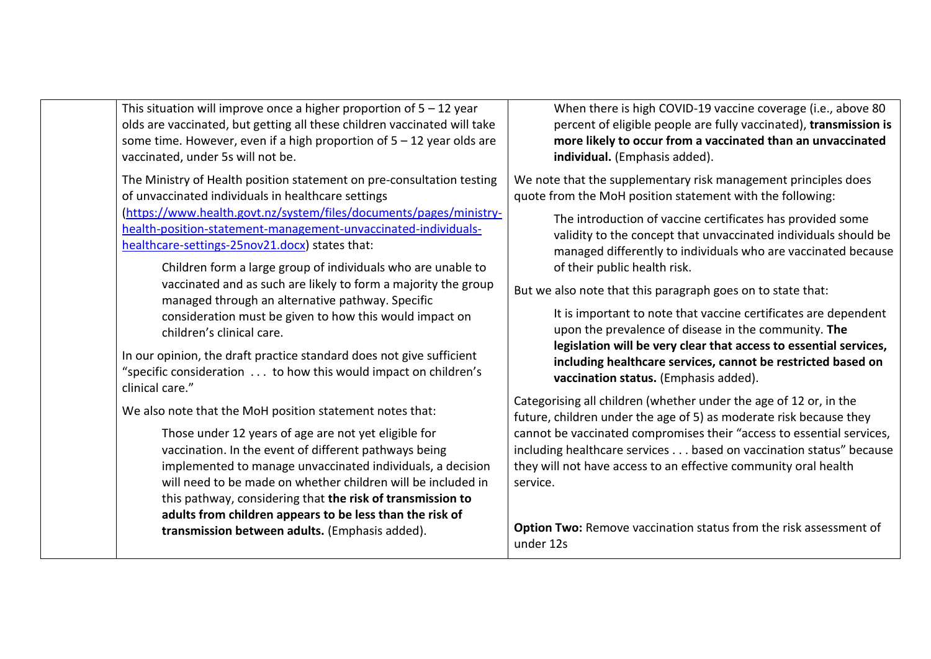This situation will improve once a higher proportion of  $5 - 12$  year olds are vaccinated, but getting all these children vaccinated will take some time. However, even if a high proportion of  $5 - 12$  year olds are vaccinated, under 5s will not be.

The Ministry of Health position statement on pre-consultation testing of unvaccinated individuals in healthcare settings [\(https://www.health.govt.nz/system/files/documents/pages/ministry](https://www.health.govt.nz/system/files/documents/pages/ministry-health-position-statement-management-unvaccinated-individuals-healthcare-settings-25nov21.docx)[health-position-statement-management-unvaccinated-individuals](https://www.health.govt.nz/system/files/documents/pages/ministry-health-position-statement-management-unvaccinated-individuals-healthcare-settings-25nov21.docx)[healthcare-settings-25nov21.docx\)](https://www.health.govt.nz/system/files/documents/pages/ministry-health-position-statement-management-unvaccinated-individuals-healthcare-settings-25nov21.docx) states that:

> Children form a large group of individuals who are unable to vaccinated and as such are likely to form a majority the group managed through an alternative pathway. Specific consideration must be given to how this would impact on children's clinical care.

In our opinion, the draft practice standard does not give sufficient "specific consideration . . . to how this would impact on children's clinical care."

We also note that the MoH position statement notes that:

Those under 12 years of age are not yet eligible for vaccination. In the event of different pathways being implemented to manage unvaccinated individuals, a decision will need to be made on whether children will be included in this pathway, considering that **the risk of transmission to adults from children appears to be less than the risk of transmission between adults.** (Emphasis added).

When there is high COVID-19 vaccine coverage (i.e., above 80 percent of eligible people are fully vaccinated), **transmission is more likely to occur from a vaccinated than an unvaccinated individual.** (Emphasis added).

We note that the supplementary risk management principles does quote from the MoH position statement with the following:

> The introduction of vaccine certificates has provided some validity to the concept that unvaccinated individuals should be managed differently to individuals who are vaccinated because of their public health risk.

But we also note that this paragraph goes on to state that:

It is important to note that vaccine certificates are dependent upon the prevalence of disease in the community. **The legislation will be very clear that access to essential services, including healthcare services, cannot be restricted based on vaccination status.** (Emphasis added).

Categorising all children (whether under the age of 12 or, in the future, children under the age of 5) as moderate risk because they cannot be vaccinated compromises their "access to essential services, including healthcare services . . . based on vaccination status" because they will not have access to an effective community oral health service.

**Option Two:** Remove vaccination status from the risk assessment of under 12s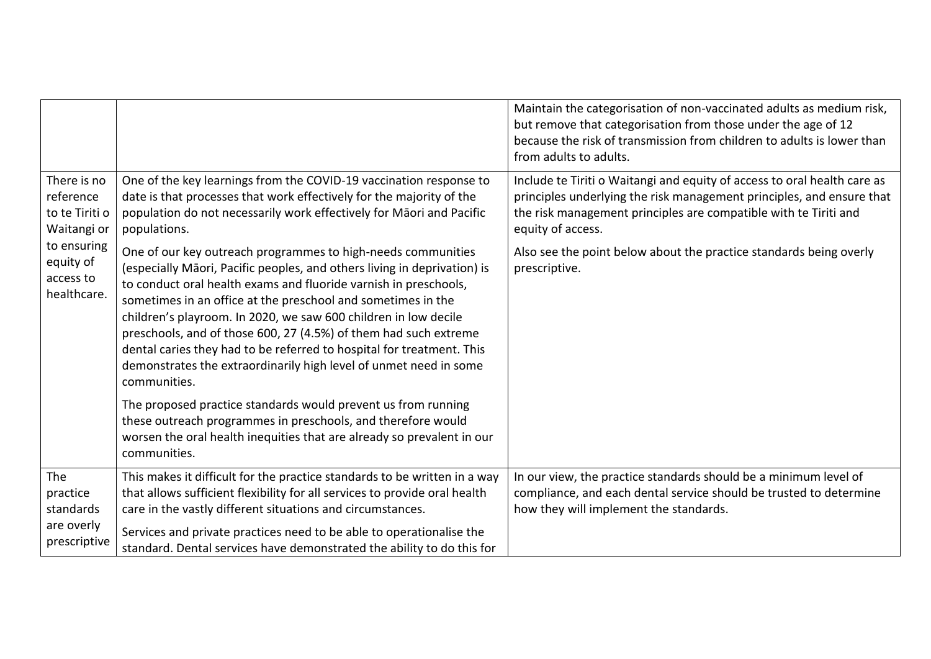|                                                                                                                   |                                                                                                                                                                                                                                                                                                                                                                                                                                                                                                                                                                                   | Maintain the categorisation of non-vaccinated adults as medium risk,<br>but remove that categorisation from those under the age of 12<br>because the risk of transmission from children to adults is lower than<br>from adults to adults.  |
|-------------------------------------------------------------------------------------------------------------------|-----------------------------------------------------------------------------------------------------------------------------------------------------------------------------------------------------------------------------------------------------------------------------------------------------------------------------------------------------------------------------------------------------------------------------------------------------------------------------------------------------------------------------------------------------------------------------------|--------------------------------------------------------------------------------------------------------------------------------------------------------------------------------------------------------------------------------------------|
| There is no<br>reference<br>to te Tiriti o<br>Waitangi or<br>to ensuring<br>equity of<br>access to<br>healthcare. | One of the key learnings from the COVID-19 vaccination response to<br>date is that processes that work effectively for the majority of the<br>population do not necessarily work effectively for Māori and Pacific<br>populations.                                                                                                                                                                                                                                                                                                                                                | Include te Tiriti o Waitangi and equity of access to oral health care as<br>principles underlying the risk management principles, and ensure that<br>the risk management principles are compatible with te Tiriti and<br>equity of access. |
|                                                                                                                   | One of our key outreach programmes to high-needs communities<br>(especially Māori, Pacific peoples, and others living in deprivation) is<br>to conduct oral health exams and fluoride varnish in preschools,<br>sometimes in an office at the preschool and sometimes in the<br>children's playroom. In 2020, we saw 600 children in low decile<br>preschools, and of those 600, 27 (4.5%) of them had such extreme<br>dental caries they had to be referred to hospital for treatment. This<br>demonstrates the extraordinarily high level of unmet need in some<br>communities. | Also see the point below about the practice standards being overly<br>prescriptive.                                                                                                                                                        |
|                                                                                                                   | The proposed practice standards would prevent us from running<br>these outreach programmes in preschools, and therefore would<br>worsen the oral health inequities that are already so prevalent in our<br>communities.                                                                                                                                                                                                                                                                                                                                                           |                                                                                                                                                                                                                                            |
| The<br>practice<br>standards<br>are overly<br>prescriptive                                                        | This makes it difficult for the practice standards to be written in a way<br>that allows sufficient flexibility for all services to provide oral health<br>care in the vastly different situations and circumstances.<br>Services and private practices need to be able to operationalise the<br>standard. Dental services have demonstrated the ability to do this for                                                                                                                                                                                                           | In our view, the practice standards should be a minimum level of<br>compliance, and each dental service should be trusted to determine<br>how they will implement the standards.                                                           |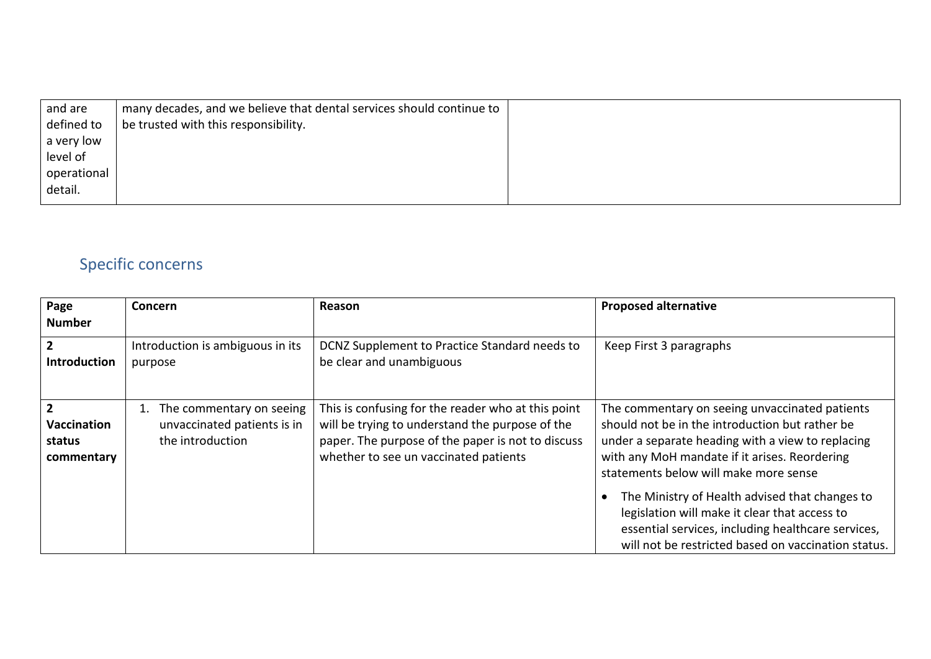| many decades, and we believe that dental services should continue to |  |
|----------------------------------------------------------------------|--|
| be trusted with this responsibility.                                 |  |
|                                                                      |  |
|                                                                      |  |
|                                                                      |  |
|                                                                      |  |
|                                                                      |  |

## Specific concerns

| Page<br><b>Number</b>                                 | <b>Concern</b>                                                              | Reason                                                                                                                                                                                              | <b>Proposed alternative</b>                                                                                                                                                                                                                                                                                                                                                                                                                                      |
|-------------------------------------------------------|-----------------------------------------------------------------------------|-----------------------------------------------------------------------------------------------------------------------------------------------------------------------------------------------------|------------------------------------------------------------------------------------------------------------------------------------------------------------------------------------------------------------------------------------------------------------------------------------------------------------------------------------------------------------------------------------------------------------------------------------------------------------------|
| $\overline{2}$<br>Introduction                        | Introduction is ambiguous in its<br>purpose                                 | DCNZ Supplement to Practice Standard needs to<br>be clear and unambiguous                                                                                                                           | Keep First 3 paragraphs                                                                                                                                                                                                                                                                                                                                                                                                                                          |
| $\mathfrak{p}$<br>Vaccination<br>status<br>commentary | The commentary on seeing<br>unvaccinated patients is in<br>the introduction | This is confusing for the reader who at this point<br>will be trying to understand the purpose of the<br>paper. The purpose of the paper is not to discuss<br>whether to see un vaccinated patients | The commentary on seeing unvaccinated patients<br>should not be in the introduction but rather be<br>under a separate heading with a view to replacing<br>with any MoH mandate if it arises. Reordering<br>statements below will make more sense<br>The Ministry of Health advised that changes to<br>legislation will make it clear that access to<br>essential services, including healthcare services,<br>will not be restricted based on vaccination status. |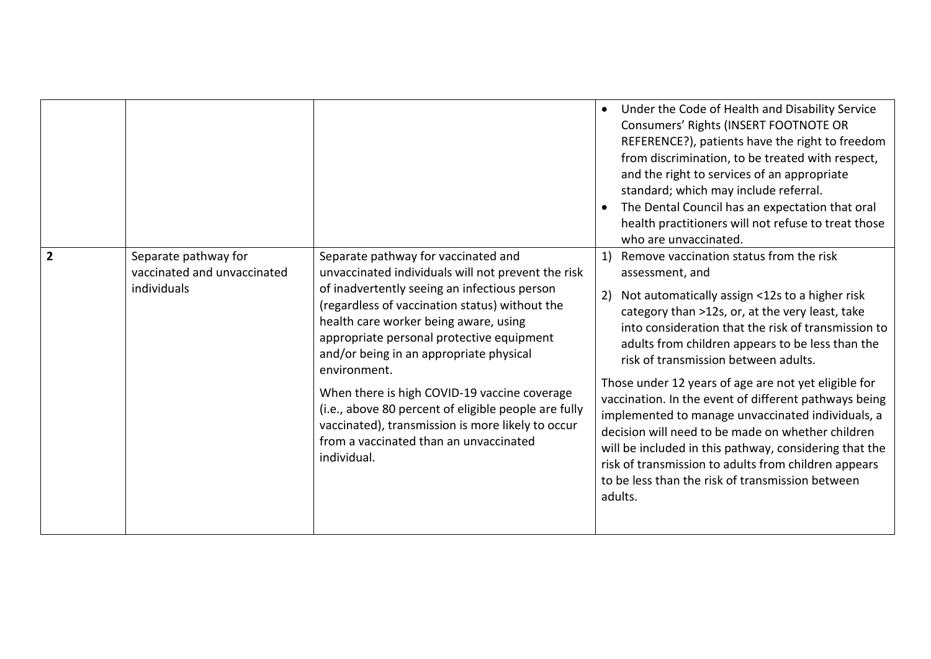|                |                                                                    |                                                                                                                                                                                                                                                                                                                                                                                                                                                                                                                                                                    | Under the Code of Health and Disability Service<br>$\bullet$<br>Consumers' Rights (INSERT FOOTNOTE OR<br>REFERENCE?), patients have the right to freedom<br>from discrimination, to be treated with respect,<br>and the right to services of an appropriate<br>standard; which may include referral.<br>The Dental Council has an expectation that oral<br>health practitioners will not refuse to treat those<br>who are unvaccinated.                                                                                                                                                                                                                                                                                                    |
|----------------|--------------------------------------------------------------------|--------------------------------------------------------------------------------------------------------------------------------------------------------------------------------------------------------------------------------------------------------------------------------------------------------------------------------------------------------------------------------------------------------------------------------------------------------------------------------------------------------------------------------------------------------------------|--------------------------------------------------------------------------------------------------------------------------------------------------------------------------------------------------------------------------------------------------------------------------------------------------------------------------------------------------------------------------------------------------------------------------------------------------------------------------------------------------------------------------------------------------------------------------------------------------------------------------------------------------------------------------------------------------------------------------------------------|
| $\overline{2}$ | Separate pathway for<br>vaccinated and unvaccinated<br>individuals | Separate pathway for vaccinated and<br>unvaccinated individuals will not prevent the risk<br>of inadvertently seeing an infectious person<br>(regardless of vaccination status) without the<br>health care worker being aware, using<br>appropriate personal protective equipment<br>and/or being in an appropriate physical<br>environment.<br>When there is high COVID-19 vaccine coverage<br>(i.e., above 80 percent of eligible people are fully<br>vaccinated), transmission is more likely to occur<br>from a vaccinated than an unvaccinated<br>individual. | Remove vaccination status from the risk<br>1)<br>assessment, and<br>Not automatically assign <12s to a higher risk<br>2)<br>category than >12s, or, at the very least, take<br>into consideration that the risk of transmission to<br>adults from children appears to be less than the<br>risk of transmission between adults.<br>Those under 12 years of age are not yet eligible for<br>vaccination. In the event of different pathways being<br>implemented to manage unvaccinated individuals, a<br>decision will need to be made on whether children<br>will be included in this pathway, considering that the<br>risk of transmission to adults from children appears<br>to be less than the risk of transmission between<br>adults. |